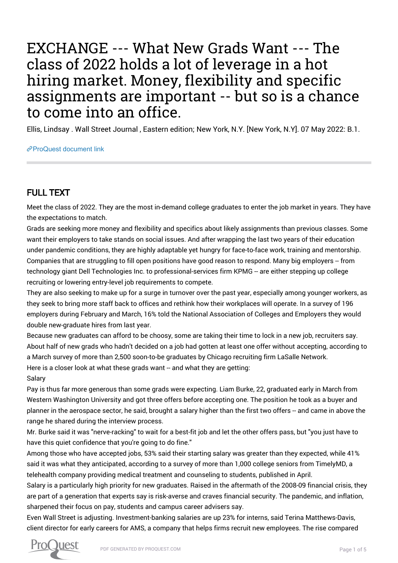## EXCHANGE --- What New Grads Want --- The class of 2022 holds a lot of leverage in a hot hiring market. Money, flexibility and specific assignments are important -- but so is a chance to come into an office.

Ellis, Lindsay . Wall Street Journal , Eastern edition; New York, N.Y. [New York, N.Y]. 07 May 2022: B.1.

[ProQuest document link](https://www.proquest.com/newspapers/exchange-what-new-grads-want-class-2022-holds-lot/docview/2660255411/se-2?accountid=44910)

## FULL TEXT

Meet the class of 2022. They are the most in-demand college graduates to enter the job market in years. They have the expectations to match.

Grads are seeking more money and flexibility and specifics about likely assignments than previous classes. Some want their employers to take stands on social issues. And after wrapping the last two years of their education under pandemic conditions, they are highly adaptable yet hungry for face-to-face work, training and mentorship. Companies that are struggling to fill open positions have good reason to respond. Many big employers -- from technology giant Dell Technologies Inc. to professional-services firm KPMG -- are either stepping up college recruiting or lowering entry-level job requirements to compete.

They are also seeking to make up for a surge in turnover over the past year, especially among younger workers, as they seek to bring more staff back to offices and rethink how their workplaces will operate. In a survey of 196 employers during February and March, 16% told the National Association of Colleges and Employers they would double new-graduate hires from last year.

Because new graduates can afford to be choosy, some are taking their time to lock in a new job, recruiters say. About half of new grads who hadn't decided on a job had gotten at least one offer without accepting, according to a March survey of more than 2,500 soon-to-be graduates by Chicago recruiting firm LaSalle Network. Here is a closer look at what these grads want -- and what they are getting: Salary

Pay is thus far more generous than some grads were expecting. Liam Burke, 22, graduated early in March from Western Washington University and got three offers before accepting one. The position he took as a buyer and planner in the aerospace sector, he said, brought a salary higher than the first two offers -- and came in above the range he shared during the interview process.

Mr. Burke said it was "nerve-racking" to wait for a best-fit job and let the other offers pass, but "you just have to have this quiet confidence that you're going to do fine."

Among those who have accepted jobs, 53% said their starting salary was greater than they expected, while 41% said it was what they anticipated, according to a survey of more than 1,000 college seniors from TimelyMD, a telehealth company providing medical treatment and counseling to students, published in April.

Salary is a particularly high priority for new graduates. Raised in the aftermath of the 2008-09 financial crisis, they are part of a generation that experts say is risk-averse and craves financial security. The pandemic, and inflation, sharpened their focus on pay, students and campus career advisers say.

Even Wall Street is adjusting. Investment-banking salaries are up 23% for interns, said Terina Matthews-Davis, client director for early careers for AMS, a company that helps firms recruit new employees. The rise compared

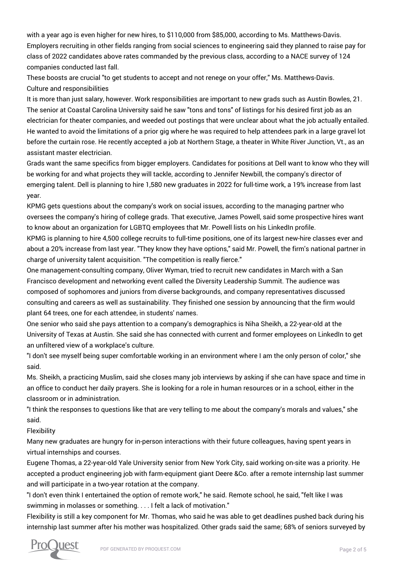with a year ago is even higher for new hires, to \$110,000 from \$85,000, according to Ms. Matthews-Davis. Employers recruiting in other fields ranging from social sciences to engineering said they planned to raise pay for class of 2022 candidates above rates commanded by the previous class, according to a NACE survey of 124 companies conducted last fall.

These boosts are crucial "to get students to accept and not renege on your offer," Ms. Matthews-Davis. Culture and responsibilities

It is more than just salary, however. Work responsibilities are important to new grads such as Austin Bowles, 21. The senior at Coastal Carolina University said he saw "tons and tons" of listings for his desired first job as an electrician for theater companies, and weeded out postings that were unclear about what the job actually entailed. He wanted to avoid the limitations of a prior gig where he was required to help attendees park in a large gravel lot before the curtain rose. He recently accepted a job at Northern Stage, a theater in White River Junction, Vt., as an assistant master electrician.

Grads want the same specifics from bigger employers. Candidates for positions at Dell want to know who they will be working for and what projects they will tackle, according to Jennifer Newbill, the company's director of emerging talent. Dell is planning to hire 1,580 new graduates in 2022 for full-time work, a 19% increase from last year.

KPMG gets questions about the company's work on social issues, according to the managing partner who oversees the company's hiring of college grads. That executive, James Powell, said some prospective hires want to know about an organization for LGBTQ employees that Mr. Powell lists on his LinkedIn profile.

KPMG is planning to hire 4,500 college recruits to full-time positions, one of its largest new-hire classes ever and about a 20% increase from last year. "They know they have options," said Mr. Powell, the firm's national partner in charge of university talent acquisition. "The competition is really fierce."

One management-consulting company, Oliver Wyman, tried to recruit new candidates in March with a San Francisco development and networking event called the Diversity Leadership Summit. The audience was composed of sophomores and juniors from diverse backgrounds, and company representatives discussed consulting and careers as well as sustainability. They finished one session by announcing that the firm would plant 64 trees, one for each attendee, in students' names.

One senior who said she pays attention to a company's demographics is Niha Sheikh, a 22-year-old at the University of Texas at Austin. She said she has connected with current and former employees on LinkedIn to get an unfiltered view of a workplace's culture.

"I don't see myself being super comfortable working in an environment where I am the only person of color," she said.

Ms. Sheikh, a practicing Muslim, said she closes many job interviews by asking if she can have space and time in an office to conduct her daily prayers. She is looking for a role in human resources or in a school, either in the classroom or in administration.

"I think the responses to questions like that are very telling to me about the company's morals and values," she said.

Flexibility

Many new graduates are hungry for in-person interactions with their future colleagues, having spent years in virtual internships and courses.

Eugene Thomas, a 22-year-old Yale University senior from New York City, said working on-site was a priority. He accepted a product engineering job with farm-equipment giant Deere &Co. after a remote internship last summer and will participate in a two-year rotation at the company.

"I don't even think I entertained the option of remote work," he said. Remote school, he said, "felt like I was swimming in molasses or something. . . . I felt a lack of motivation."

Flexibility is still a key component for Mr. Thomas, who said he was able to get deadlines pushed back during his internship last summer after his mother was hospitalized. Other grads said the same; 68% of seniors surveyed by

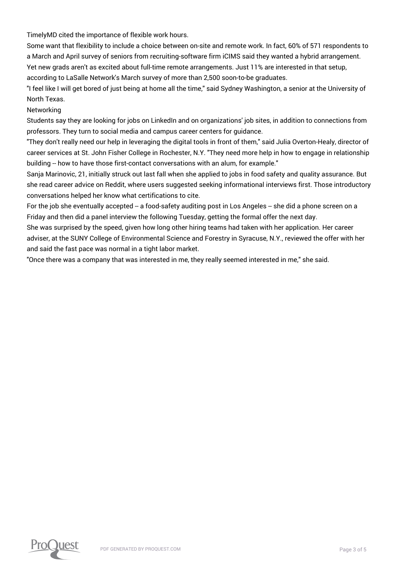TimelyMD cited the importance of flexible work hours.

Some want that flexibility to include a choice between on-site and remote work. In fact, 60% of 571 respondents to a March and April survey of seniors from recruiting-software firm iCIMS said they wanted a hybrid arrangement. Yet new grads aren't as excited about full-time remote arrangements. Just 11% are interested in that setup, according to LaSalle Network's March survey of more than 2,500 soon-to-be graduates.

"I feel like I will get bored of just being at home all the time," said Sydney Washington, a senior at the University of North Texas.

Networking

Students say they are looking for jobs on LinkedIn and on organizations' job sites, in addition to connections from professors. They turn to social media and campus career centers for guidance.

"They don't really need our help in leveraging the digital tools in front of them," said Julia Overton-Healy, director of career services at St. John Fisher College in Rochester, N.Y. "They need more help in how to engage in relationship building -- how to have those first-contact conversations with an alum, for example."

Sanja Marinovic, 21, initially struck out last fall when she applied to jobs in food safety and quality assurance. But she read career advice on Reddit, where users suggested seeking informational interviews first. Those introductory conversations helped her know what certifications to cite.

For the job she eventually accepted -- a food-safety auditing post in Los Angeles -- she did a phone screen on a Friday and then did a panel interview the following Tuesday, getting the formal offer the next day.

She was surprised by the speed, given how long other hiring teams had taken with her application. Her career adviser, at the SUNY College of Environmental Science and Forestry in Syracuse, N.Y., reviewed the offer with her and said the fast pace was normal in a tight labor market.

"Once there was a company that was interested in me, they really seemed interested in me," she said.

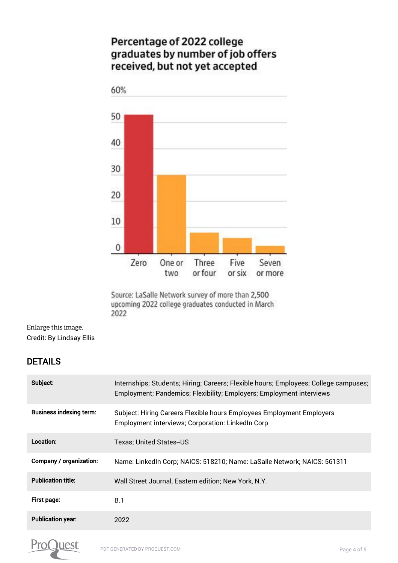## Percentage of 2022 college graduates by number of job offers received, but not yet accepted



Source: LaSalle Network survey of more than 2,500 upcoming 2022 college graduates conducted in March 2022

[Enlarge this image.](https://www.proquest.comhttps://www.proquest.com/textgraphic/2660255411/fulltextwithgraphics/2977DF121E3543BDPQ/1/1?accountid=44910) Credit: By Lindsay Ellis

## DETAILS

| Subject:                       | Internships; Students; Hiring; Careers; Flexible hours; Employees; College campuses;<br>Employment; Pandemics; Flexibility; Employers; Employment interviews |
|--------------------------------|--------------------------------------------------------------------------------------------------------------------------------------------------------------|
| <b>Business indexing term:</b> | Subject: Hiring Careers Flexible hours Employees Employment Employers<br>Employment interviews; Corporation: LinkedIn Corp                                   |
| Location:                      | Texas: United States--US                                                                                                                                     |
| Company / organization:        | Name: LinkedIn Corp; NAICS: 518210; Name: LaSalle Network; NAICS: 561311                                                                                     |
| <b>Publication title:</b>      | Wall Street Journal, Eastern edition; New York, N.Y.                                                                                                         |
| First page:                    | <b>B.1</b>                                                                                                                                                   |
| <b>Publication year:</b>       | 2022                                                                                                                                                         |